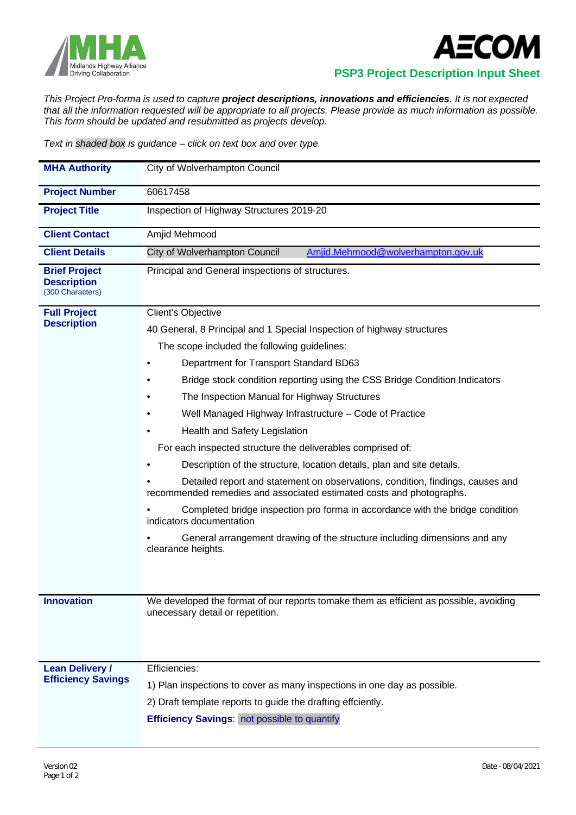



 **PSP3 Project Description Input Sheet**

*This Project Pro-forma is used to capture project descriptions, innovations and efficiencies. It is not expected that all the information requested will be appropriate to all projects. Please provide as much information as possible. This form should be updated and resubmitted as projects develop.*

*Text in shaded box is guidance – click on text box and over type.*

| <b>MHA Authority</b>                                           | City of Wolverhampton Council                                                                                                                                                                                                                                                                                                                                                                                                                                                                                                                                                                                                                                                                                                                                                                                                                                                                                                      |
|----------------------------------------------------------------|------------------------------------------------------------------------------------------------------------------------------------------------------------------------------------------------------------------------------------------------------------------------------------------------------------------------------------------------------------------------------------------------------------------------------------------------------------------------------------------------------------------------------------------------------------------------------------------------------------------------------------------------------------------------------------------------------------------------------------------------------------------------------------------------------------------------------------------------------------------------------------------------------------------------------------|
| <b>Project Number</b>                                          | 60617458                                                                                                                                                                                                                                                                                                                                                                                                                                                                                                                                                                                                                                                                                                                                                                                                                                                                                                                           |
| <b>Project Title</b>                                           | Inspection of Highway Structures 2019-20                                                                                                                                                                                                                                                                                                                                                                                                                                                                                                                                                                                                                                                                                                                                                                                                                                                                                           |
| <b>Client Contact</b>                                          | Amjid Mehmood                                                                                                                                                                                                                                                                                                                                                                                                                                                                                                                                                                                                                                                                                                                                                                                                                                                                                                                      |
| <b>Client Details</b>                                          | Amjid.Mehmood@wolverhampton.gov.uk<br>City of Wolverhampton Council                                                                                                                                                                                                                                                                                                                                                                                                                                                                                                                                                                                                                                                                                                                                                                                                                                                                |
| <b>Brief Project</b><br><b>Description</b><br>(300 Characters) | Principal and General inspections of structures.                                                                                                                                                                                                                                                                                                                                                                                                                                                                                                                                                                                                                                                                                                                                                                                                                                                                                   |
| <b>Full Project</b><br><b>Description</b>                      | Client's Objective<br>40 General, 8 Principal and 1 Special Inspection of highway structures<br>The scope included the following guidelines:<br>Department for Transport Standard BD63<br>Bridge stock condition reporting using the CSS Bridge Condition Indicators<br>The Inspection Manual for Highway Structures<br>Well Managed Highway Infrastructure - Code of Practice<br>Health and Safety Legislation<br>For each inspected structure the deliverables comprised of:<br>Description of the structure, location details, plan and site details.<br>Detailed report and statement on observations, condition, findings, causes and<br>recommended remedies and associated estimated costs and photographs.<br>Completed bridge inspection pro forma in accordance with the bridge condition<br>indicators documentation<br>General arrangement drawing of the structure including dimensions and any<br>clearance heights. |
| <b>Innovation</b>                                              | We developed the format of our reports tomake them as efficient as possible, avoiding<br>unecessary detail or repetition.                                                                                                                                                                                                                                                                                                                                                                                                                                                                                                                                                                                                                                                                                                                                                                                                          |
| <b>Lean Delivery /</b><br><b>Efficiency Savings</b>            | Efficiencies:<br>1) Plan inspections to cover as many inspections in one day as possible.<br>2) Draft template reports to guide the drafting effciently.<br><b>Efficiency Savings:</b> not possible to quantify                                                                                                                                                                                                                                                                                                                                                                                                                                                                                                                                                                                                                                                                                                                    |